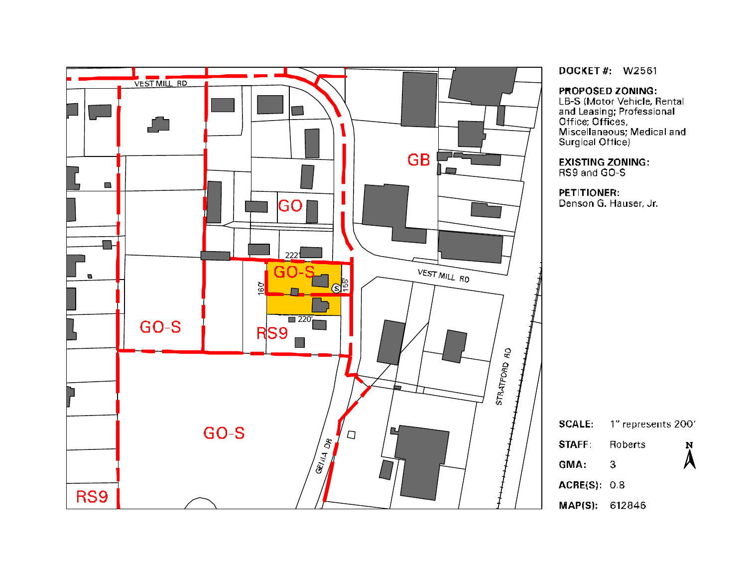

**DOCKET#: W2561** 

PROPOSED ZONING:

**EXECT SED ZONING.**<br>
LB-S (Motor Vehicle, Rental<br>
and Leasing; Professional<br>
Office; Offices,<br>
Miscellaneous; Medical and<br>
Surgical Office)

**EXISTING ZONING:** RS9 and GO-S

**PETITIONER:** Denson G. Hauser, Jr.

| <b>SCALE:</b> | 1" represents 200' |                    |
|---------------|--------------------|--------------------|
| <b>STAFF</b>  | <b>Roberts</b>     | N                  |
| GMA:          | З                  | $\boldsymbol{\mu}$ |
| ACRE(S): 0.8  |                    |                    |
| MAPIS) 612846 |                    |                    |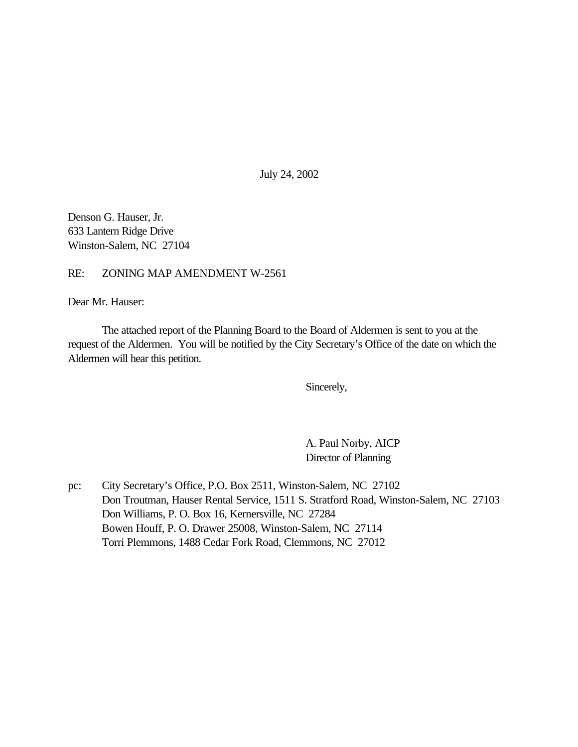July 24, 2002

Denson G. Hauser, Jr. 633 Lantern Ridge Drive Winston-Salem, NC 27104

RE: ZONING MAP AMENDMENT W-2561

Dear Mr. Hauser:

The attached report of the Planning Board to the Board of Aldermen is sent to you at the request of the Aldermen. You will be notified by the City Secretary's Office of the date on which the Aldermen will hear this petition.

Sincerely,

A. Paul Norby, AICP Director of Planning

pc: City Secretary's Office, P.O. Box 2511, Winston-Salem, NC 27102 Don Troutman, Hauser Rental Service, 1511 S. Stratford Road, Winston-Salem, NC 27103 Don Williams, P. O. Box 16, Kernersville, NC 27284 Bowen Houff, P. O. Drawer 25008, Winston-Salem, NC 27114 Torri Plemmons, 1488 Cedar Fork Road, Clemmons, NC 27012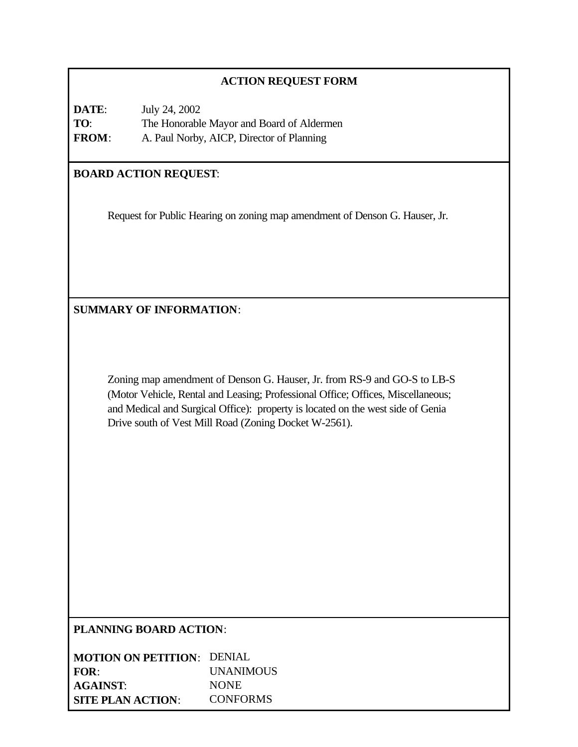## **ACTION REQUEST FORM**

| DATE:        | July 24, 2002                             |
|--------------|-------------------------------------------|
| TO:          | The Honorable Mayor and Board of Aldermen |
| <b>FROM:</b> | A. Paul Norby, AICP, Director of Planning |

# **BOARD ACTION REQUEST**:

Request for Public Hearing on zoning map amendment of Denson G. Hauser, Jr.

**SUMMARY OF INFORMATION**:

Zoning map amendment of Denson G. Hauser, Jr. from RS-9 and GO-S to LB-S (Motor Vehicle, Rental and Leasing; Professional Office; Offices, Miscellaneous; and Medical and Surgical Office): property is located on the west side of Genia Drive south of Vest Mill Road (Zoning Docket W-2561).

**PLANNING BOARD ACTION**:

| <b>MOTION ON PETITION:</b> DENIAL |                  |
|-----------------------------------|------------------|
| FOR:                              | <b>UNANIMOUS</b> |
| <b>AGAINST:</b>                   | <b>NONE</b>      |
| <b>SITE PLAN ACTION:</b>          | <b>CONFORMS</b>  |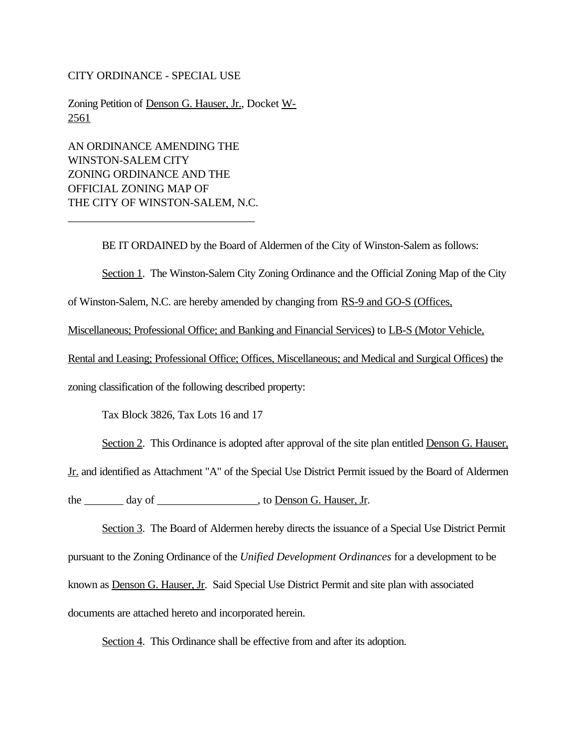#### CITY ORDINANCE - SPECIAL USE

Zoning Petition of Denson G. Hauser, Jr., Docket W-2561

AN ORDINANCE AMENDING THE WINSTON-SALEM CITY ZONING ORDINANCE AND THE OFFICIAL ZONING MAP OF THE CITY OF WINSTON-SALEM, N.C.

\_\_\_\_\_\_\_\_\_\_\_\_\_\_\_\_\_\_\_\_\_\_\_\_\_\_\_\_\_\_\_\_\_

BE IT ORDAINED by the Board of Aldermen of the City of Winston-Salem as follows:

Section 1. The Winston-Salem City Zoning Ordinance and the Official Zoning Map of the City

of Winston-Salem, N.C. are hereby amended by changing from RS-9 and GO-S (Offices,

Miscellaneous; Professional Office; and Banking and Financial Services) to LB-S (Motor Vehicle,

Rental and Leasing; Professional Office; Offices, Miscellaneous; and Medical and Surgical Offices) the

zoning classification of the following described property:

Tax Block 3826, Tax Lots 16 and 17

Section 2. This Ordinance is adopted after approval of the site plan entitled Denson G. Hauser,

Jr. and identified as Attachment "A" of the Special Use District Permit issued by the Board of Aldermen

the \_\_\_\_\_\_\_\_ day of \_\_\_\_\_\_\_\_\_\_\_\_\_\_\_\_\_\_\_, to Denson G. Hauser, Jr.

Section 3. The Board of Aldermen hereby directs the issuance of a Special Use District Permit pursuant to the Zoning Ordinance of the *Unified Development Ordinances* for a development to be known as Denson G. Hauser, Jr. Said Special Use District Permit and site plan with associated documents are attached hereto and incorporated herein.

Section 4. This Ordinance shall be effective from and after its adoption.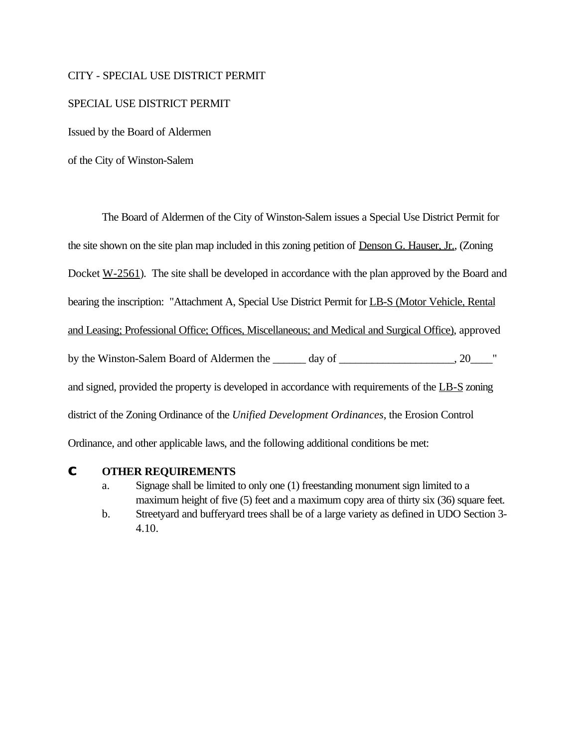#### CITY - SPECIAL USE DISTRICT PERMIT

#### SPECIAL USE DISTRICT PERMIT

Issued by the Board of Aldermen

of the City of Winston-Salem

The Board of Aldermen of the City of Winston-Salem issues a Special Use District Permit for the site shown on the site plan map included in this zoning petition of Denson G. Hauser, Jr., (Zoning Docket W-2561). The site shall be developed in accordance with the plan approved by the Board and bearing the inscription: "Attachment A, Special Use District Permit for LB-S (Motor Vehicle, Rental and Leasing; Professional Office; Offices, Miscellaneous; and Medical and Surgical Office), approved by the Winston-Salem Board of Aldermen the day of  $\qquad \qquad$ , 20 and signed, provided the property is developed in accordance with requirements of the LB-S zoning district of the Zoning Ordinance of the *Unified Development Ordinances*, the Erosion Control Ordinance, and other applicable laws, and the following additional conditions be met:

### **C OTHER REQUIREMENTS**

- a. Signage shall be limited to only one (1) freestanding monument sign limited to a maximum height of five (5) feet and a maximum copy area of thirty six (36) square feet.
- b. Streetyard and bufferyard trees shall be of a large variety as defined in UDO Section 3- 4.10.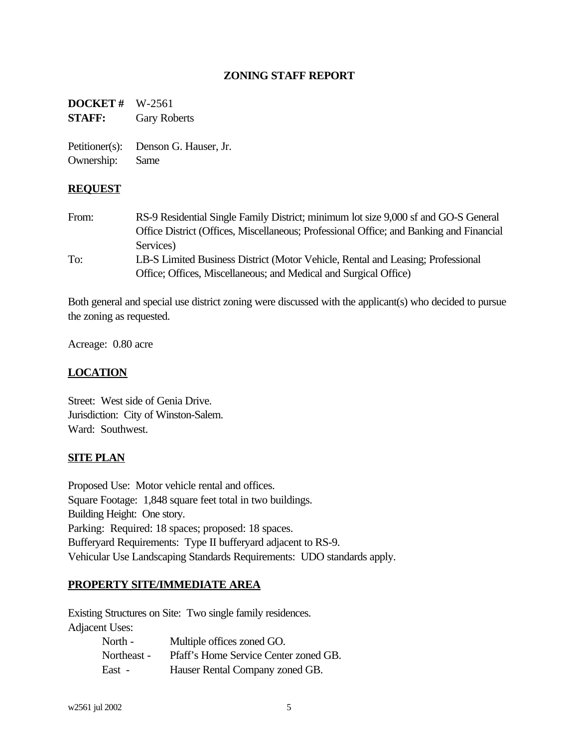## **ZONING STAFF REPORT**

**DOCKET #** W-2561 **STAFF:** Gary Roberts

Petitioner(s): Denson G. Hauser, Jr. Ownership: Same

### **REQUEST**

From: RS-9 Residential Single Family District; minimum lot size 9,000 sf and GO-S General Office District (Offices, Miscellaneous; Professional Office; and Banking and Financial Services) To: LB-S Limited Business District (Motor Vehicle, Rental and Leasing; Professional Office; Offices, Miscellaneous; and Medical and Surgical Office)

Both general and special use district zoning were discussed with the applicant(s) who decided to pursue the zoning as requested.

Acreage: 0.80 acre

### **LOCATION**

Street: West side of Genia Drive. Jurisdiction: City of Winston-Salem. Ward: Southwest.

### **SITE PLAN**

Proposed Use: Motor vehicle rental and offices. Square Footage: 1,848 square feet total in two buildings. Building Height: One story. Parking: Required: 18 spaces; proposed: 18 spaces. Bufferyard Requirements: Type II bufferyard adjacent to RS-9. Vehicular Use Landscaping Standards Requirements: UDO standards apply.

### **PROPERTY SITE/IMMEDIATE AREA**

Existing Structures on Site: Two single family residences. Adjacent Uses:

| North -     | Multiple offices zoned GO.            |
|-------------|---------------------------------------|
| Northeast - | Pfaff's Home Service Center zoned GB. |
| East -      | Hauser Rental Company zoned GB.       |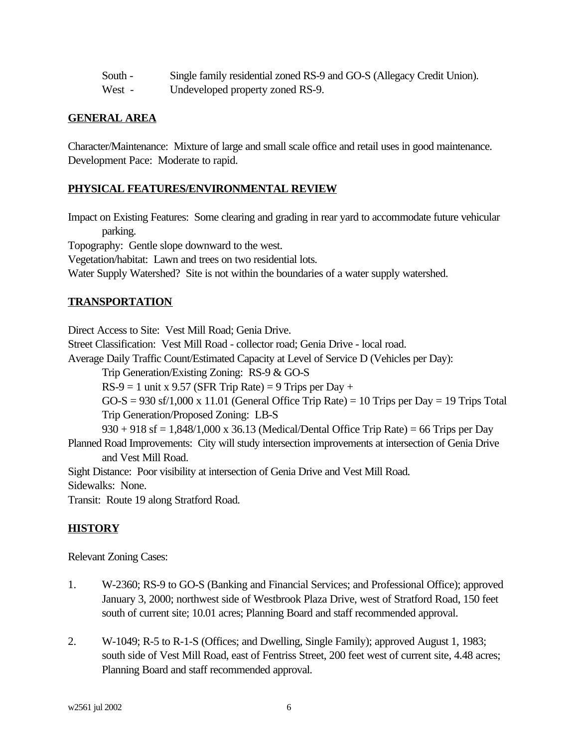| South -                   | Single family residential zoned RS-9 and GO-S (Allegacy Credit Union). |
|---------------------------|------------------------------------------------------------------------|
| $\mathbf{W}$ $\mathbf{L}$ | $L_{\alpha}$ developed nuclearly $=$ and $R_{\alpha}$                  |

#### West - Undeveloped property zoned RS-9.

### **GENERAL AREA**

Character/Maintenance: Mixture of large and small scale office and retail uses in good maintenance. Development Pace: Moderate to rapid.

## **PHYSICAL FEATURES/ENVIRONMENTAL REVIEW**

Impact on Existing Features: Some clearing and grading in rear yard to accommodate future vehicular parking.

Topography: Gentle slope downward to the west.

Vegetation/habitat: Lawn and trees on two residential lots.

Water Supply Watershed? Site is not within the boundaries of a water supply watershed.

## **TRANSPORTATION**

Direct Access to Site: Vest Mill Road; Genia Drive.

Street Classification: Vest Mill Road - collector road; Genia Drive - local road.

Average Daily Traffic Count/Estimated Capacity at Level of Service D (Vehicles per Day):

Trip Generation/Existing Zoning: RS-9 & GO-S

 $RS-9 = 1$  unit x 9.57 (SFR Trip Rate) = 9 Trips per Day +

 $GO-S = 930$  sf/1,000 x 11.01 (General Office Trip Rate) = 10 Trips per Day = 19 Trips Total Trip Generation/Proposed Zoning: LB-S

 $930 + 918$  sf = 1,848/1,000 x 36.13 (Medical/Dental Office Trip Rate) = 66 Trips per Day Planned Road Improvements: City will study intersection improvements at intersection of Genia Drive and Vest Mill Road.

Sight Distance: Poor visibility at intersection of Genia Drive and Vest Mill Road.

Sidewalks: None.

Transit: Route 19 along Stratford Road.

## **HISTORY**

Relevant Zoning Cases:

- 1. W-2360; RS-9 to GO-S (Banking and Financial Services; and Professional Office); approved January 3, 2000; northwest side of Westbrook Plaza Drive, west of Stratford Road, 150 feet south of current site; 10.01 acres; Planning Board and staff recommended approval.
- 2. W-1049; R-5 to R-1-S (Offices; and Dwelling, Single Family); approved August 1, 1983; south side of Vest Mill Road, east of Fentriss Street, 200 feet west of current site, 4.48 acres; Planning Board and staff recommended approval.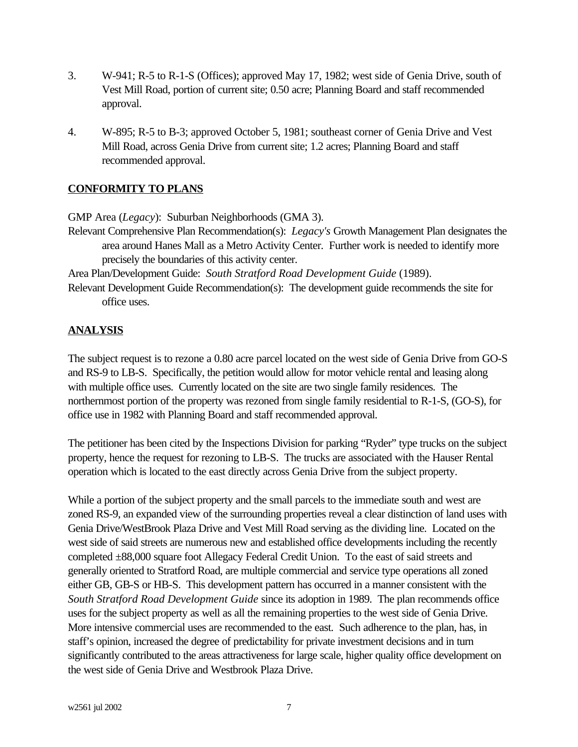- 3. W-941; R-5 to R-1-S (Offices); approved May 17, 1982; west side of Genia Drive, south of Vest Mill Road, portion of current site; 0.50 acre; Planning Board and staff recommended approval.
- 4. W-895; R-5 to B-3; approved October 5, 1981; southeast corner of Genia Drive and Vest Mill Road, across Genia Drive from current site; 1.2 acres; Planning Board and staff recommended approval.

## **CONFORMITY TO PLANS**

GMP Area (*Legacy*): Suburban Neighborhoods (GMA 3).

Relevant Comprehensive Plan Recommendation(s): *Legacy's* Growth Management Plan designates the area around Hanes Mall as a Metro Activity Center. Further work is needed to identify more precisely the boundaries of this activity center.

Area Plan/Development Guide: *South Stratford Road Development Guide* (1989).

Relevant Development Guide Recommendation(s): The development guide recommends the site for office uses.

## **ANALYSIS**

The subject request is to rezone a 0.80 acre parcel located on the west side of Genia Drive from GO-S and RS-9 to LB-S. Specifically, the petition would allow for motor vehicle rental and leasing along with multiple office uses. Currently located on the site are two single family residences. The northernmost portion of the property was rezoned from single family residential to R-1-S, (GO-S), for office use in 1982 with Planning Board and staff recommended approval.

The petitioner has been cited by the Inspections Division for parking "Ryder" type trucks on the subject property, hence the request for rezoning to LB-S. The trucks are associated with the Hauser Rental operation which is located to the east directly across Genia Drive from the subject property.

While a portion of the subject property and the small parcels to the immediate south and west are zoned RS-9, an expanded view of the surrounding properties reveal a clear distinction of land uses with Genia Drive/WestBrook Plaza Drive and Vest Mill Road serving as the dividing line. Located on the west side of said streets are numerous new and established office developments including the recently completed ±88,000 square foot Allegacy Federal Credit Union. To the east of said streets and generally oriented to Stratford Road, are multiple commercial and service type operations all zoned either GB, GB-S or HB-S. This development pattern has occurred in a manner consistent with the *South Stratford Road Development Guide* since its adoption in 1989. The plan recommends office uses for the subject property as well as all the remaining properties to the west side of Genia Drive. More intensive commercial uses are recommended to the east. Such adherence to the plan, has, in staff's opinion, increased the degree of predictability for private investment decisions and in turn significantly contributed to the areas attractiveness for large scale, higher quality office development on the west side of Genia Drive and Westbrook Plaza Drive.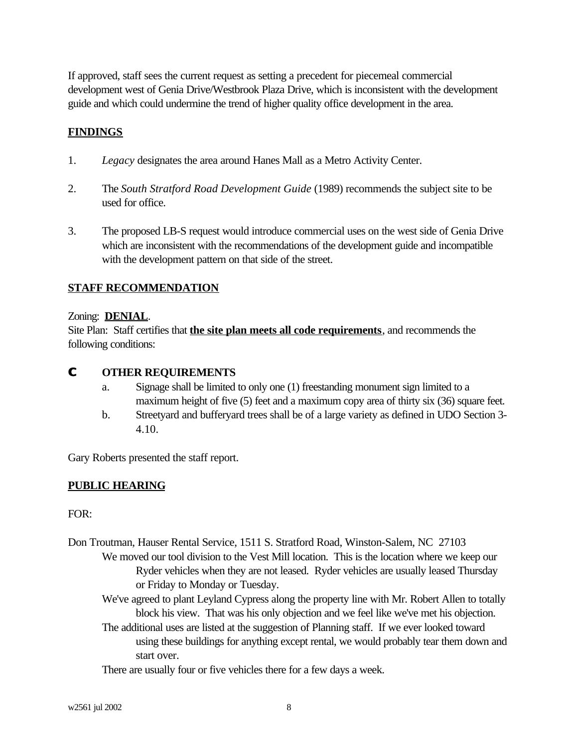If approved, staff sees the current request as setting a precedent for piecemeal commercial development west of Genia Drive/Westbrook Plaza Drive, which is inconsistent with the development guide and which could undermine the trend of higher quality office development in the area.

# **FINDINGS**

- 1. *Legacy* designates the area around Hanes Mall as a Metro Activity Center.
- 2. The *South Stratford Road Development Guide* (1989) recommends the subject site to be used for office.
- 3. The proposed LB-S request would introduce commercial uses on the west side of Genia Drive which are inconsistent with the recommendations of the development guide and incompatible with the development pattern on that side of the street.

## **STAFF RECOMMENDATION**

## Zoning: **DENIAL**.

Site Plan: Staff certifies that **the site plan meets all code requirements**, and recommends the following conditions:

## **C OTHER REQUIREMENTS**

- a. Signage shall be limited to only one (1) freestanding monument sign limited to a maximum height of five (5) feet and a maximum copy area of thirty six (36) square feet.
- b. Streetyard and bufferyard trees shall be of a large variety as defined in UDO Section 3- 4.10.

Gary Roberts presented the staff report.

## **PUBLIC HEARING**

### FOR:

- Don Troutman, Hauser Rental Service, 1511 S. Stratford Road, Winston-Salem, NC 27103 We moved our tool division to the Vest Mill location. This is the location where we keep our Ryder vehicles when they are not leased. Ryder vehicles are usually leased Thursday or Friday to Monday or Tuesday.
	- We've agreed to plant Leyland Cypress along the property line with Mr. Robert Allen to totally block his view. That was his only objection and we feel like we've met his objection.
	- The additional uses are listed at the suggestion of Planning staff. If we ever looked toward using these buildings for anything except rental, we would probably tear them down and start over.
	- There are usually four or five vehicles there for a few days a week.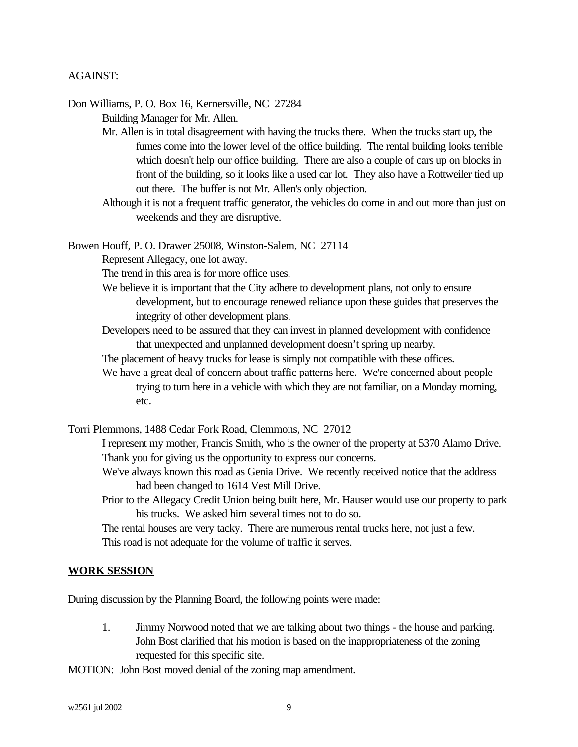#### AGAINST:

Don Williams, P. O. Box 16, Kernersville, NC 27284 Building Manager for Mr. Allen.

> Mr. Allen is in total disagreement with having the trucks there. When the trucks start up, the fumes come into the lower level of the office building. The rental building looks terrible which doesn't help our office building. There are also a couple of cars up on blocks in front of the building, so it looks like a used car lot. They also have a Rottweiler tied up out there. The buffer is not Mr. Allen's only objection.

> Although it is not a frequent traffic generator, the vehicles do come in and out more than just on weekends and they are disruptive.

Bowen Houff, P. O. Drawer 25008, Winston-Salem, NC 27114

Represent Allegacy, one lot away.

The trend in this area is for more office uses.

- We believe it is important that the City adhere to development plans, not only to ensure development, but to encourage renewed reliance upon these guides that preserves the integrity of other development plans.
- Developers need to be assured that they can invest in planned development with confidence that unexpected and unplanned development doesn't spring up nearby.
- The placement of heavy trucks for lease is simply not compatible with these offices.
- We have a great deal of concern about traffic patterns here. We're concerned about people trying to turn here in a vehicle with which they are not familiar, on a Monday morning, etc.

Torri Plemmons, 1488 Cedar Fork Road, Clemmons, NC 27012

I represent my mother, Francis Smith, who is the owner of the property at 5370 Alamo Drive. Thank you for giving us the opportunity to express our concerns.

- We've always known this road as Genia Drive. We recently received notice that the address had been changed to 1614 Vest Mill Drive.
- Prior to the Allegacy Credit Union being built here, Mr. Hauser would use our property to park his trucks. We asked him several times not to do so.

The rental houses are very tacky. There are numerous rental trucks here, not just a few. This road is not adequate for the volume of traffic it serves.

#### **WORK SESSION**

During discussion by the Planning Board, the following points were made:

1. Jimmy Norwood noted that we are talking about two things - the house and parking. John Bost clarified that his motion is based on the inappropriateness of the zoning requested for this specific site.

MOTION: John Bost moved denial of the zoning map amendment.